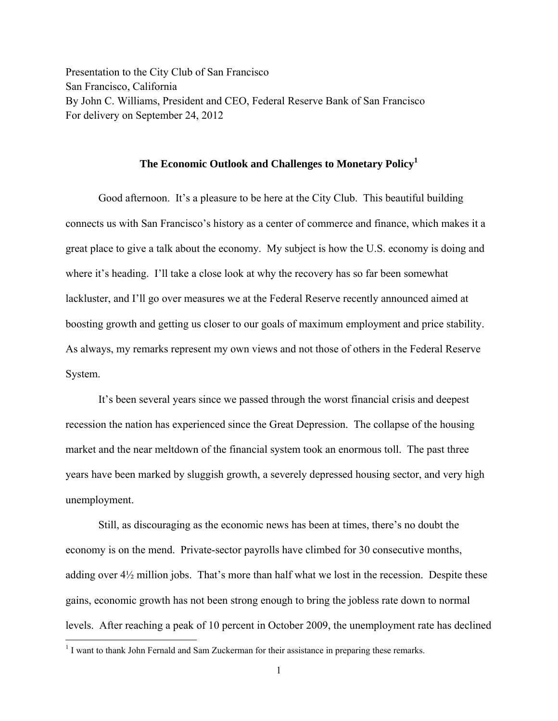Presentation to the City Club of San Francisco San Francisco, California By John C. Williams, President and CEO, Federal Reserve Bank of San Francisco For delivery on September 24, 2012

## **The Economic Outlook and Challenges to Monetary Policy1**

Good afternoon. It's a pleasure to be here at the City Club. This beautiful building connects us with San Francisco's history as a center of commerce and finance, which makes it a great place to give a talk about the economy. My subject is how the U.S. economy is doing and where it's heading. I'll take a close look at why the recovery has so far been somewhat lackluster, and I'll go over measures we at the Federal Reserve recently announced aimed at boosting growth and getting us closer to our goals of maximum employment and price stability. As always, my remarks represent my own views and not those of others in the Federal Reserve System.

It's been several years since we passed through the worst financial crisis and deepest recession the nation has experienced since the Great Depression. The collapse of the housing market and the near meltdown of the financial system took an enormous toll. The past three years have been marked by sluggish growth, a severely depressed housing sector, and very high unemployment.

Still, as discouraging as the economic news has been at times, there's no doubt the economy is on the mend. Private-sector payrolls have climbed for 30 consecutive months, adding over 4½ million jobs. That's more than half what we lost in the recession. Despite these gains, economic growth has not been strong enough to bring the jobless rate down to normal levels. After reaching a peak of 10 percent in October 2009, the unemployment rate has declined

 $<sup>1</sup>$  I want to thank John Fernald and Sam Zuckerman for their assistance in preparing these remarks.</sup>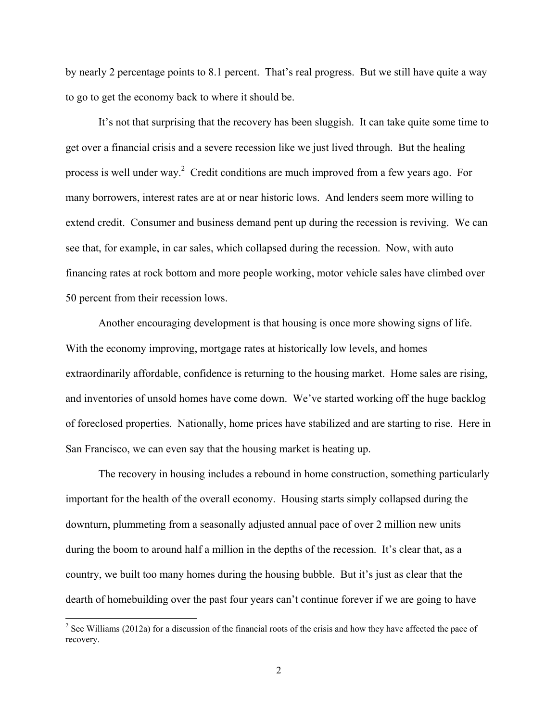by nearly 2 percentage points to 8.1 percent. That's real progress. But we still have quite a way to go to get the economy back to where it should be.

It's not that surprising that the recovery has been sluggish. It can take quite some time to get over a financial crisis and a severe recession like we just lived through. But the healing process is well under way.<sup>2</sup> Credit conditions are much improved from a few years ago. For many borrowers, interest rates are at or near historic lows. And lenders seem more willing to extend credit. Consumer and business demand pent up during the recession is reviving. We can see that, for example, in car sales, which collapsed during the recession. Now, with auto financing rates at rock bottom and more people working, motor vehicle sales have climbed over 50 percent from their recession lows.

Another encouraging development is that housing is once more showing signs of life. With the economy improving, mortgage rates at historically low levels, and homes extraordinarily affordable, confidence is returning to the housing market. Home sales are rising, and inventories of unsold homes have come down. We've started working off the huge backlog of foreclosed properties. Nationally, home prices have stabilized and are starting to rise. Here in San Francisco, we can even say that the housing market is heating up.

The recovery in housing includes a rebound in home construction, something particularly important for the health of the overall economy. Housing starts simply collapsed during the downturn, plummeting from a seasonally adjusted annual pace of over 2 million new units during the boom to around half a million in the depths of the recession. It's clear that, as a country, we built too many homes during the housing bubble. But it's just as clear that the dearth of homebuilding over the past four years can't continue forever if we are going to have

<sup>&</sup>lt;sup>2</sup> See Williams (2012a) for a discussion of the financial roots of the crisis and how they have affected the pace of recovery.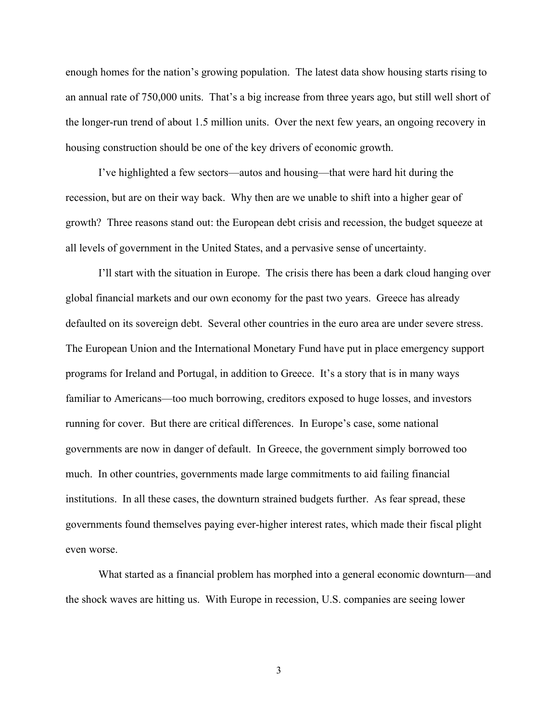enough homes for the nation's growing population. The latest data show housing starts rising to an annual rate of 750,000 units. That's a big increase from three years ago, but still well short of the longer-run trend of about 1.5 million units. Over the next few years, an ongoing recovery in housing construction should be one of the key drivers of economic growth.

I've highlighted a few sectors—autos and housing—that were hard hit during the recession, but are on their way back. Why then are we unable to shift into a higher gear of growth? Three reasons stand out: the European debt crisis and recession, the budget squeeze at all levels of government in the United States, and a pervasive sense of uncertainty.

I'll start with the situation in Europe. The crisis there has been a dark cloud hanging over global financial markets and our own economy for the past two years. Greece has already defaulted on its sovereign debt. Several other countries in the euro area are under severe stress. The European Union and the International Monetary Fund have put in place emergency support programs for Ireland and Portugal, in addition to Greece. It's a story that is in many ways familiar to Americans—too much borrowing, creditors exposed to huge losses, and investors running for cover. But there are critical differences. In Europe's case, some national governments are now in danger of default. In Greece, the government simply borrowed too much. In other countries, governments made large commitments to aid failing financial institutions. In all these cases, the downturn strained budgets further. As fear spread, these governments found themselves paying ever-higher interest rates, which made their fiscal plight even worse.

What started as a financial problem has morphed into a general economic downturn—and the shock waves are hitting us. With Europe in recession, U.S. companies are seeing lower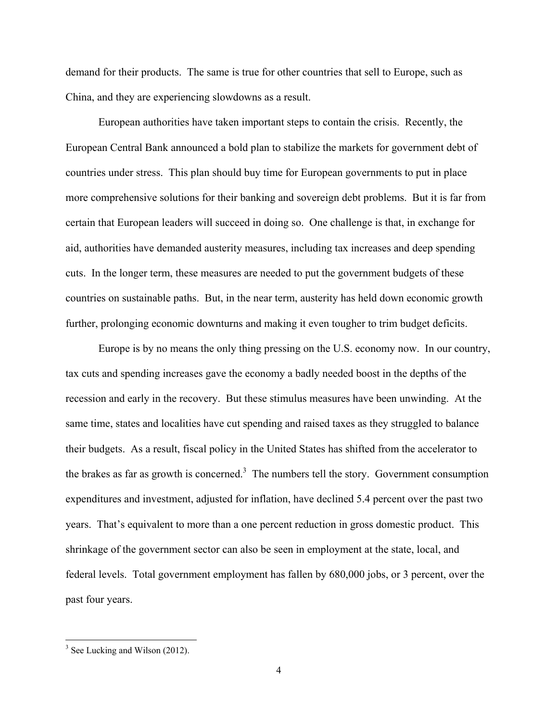demand for their products. The same is true for other countries that sell to Europe, such as China, and they are experiencing slowdowns as a result.

European authorities have taken important steps to contain the crisis. Recently, the European Central Bank announced a bold plan to stabilize the markets for government debt of countries under stress. This plan should buy time for European governments to put in place more comprehensive solutions for their banking and sovereign debt problems. But it is far from certain that European leaders will succeed in doing so. One challenge is that, in exchange for aid, authorities have demanded austerity measures, including tax increases and deep spending cuts. In the longer term, these measures are needed to put the government budgets of these countries on sustainable paths. But, in the near term, austerity has held down economic growth further, prolonging economic downturns and making it even tougher to trim budget deficits.

Europe is by no means the only thing pressing on the U.S. economy now. In our country, tax cuts and spending increases gave the economy a badly needed boost in the depths of the recession and early in the recovery. But these stimulus measures have been unwinding. At the same time, states and localities have cut spending and raised taxes as they struggled to balance their budgets. As a result, fiscal policy in the United States has shifted from the accelerator to the brakes as far as growth is concerned.<sup>3</sup> The numbers tell the story. Government consumption expenditures and investment, adjusted for inflation, have declined 5.4 percent over the past two years. That's equivalent to more than a one percent reduction in gross domestic product. This shrinkage of the government sector can also be seen in employment at the state, local, and federal levels. Total government employment has fallen by 680,000 jobs, or 3 percent, over the past four years.

 <sup>3</sup> See Lucking and Wilson (2012).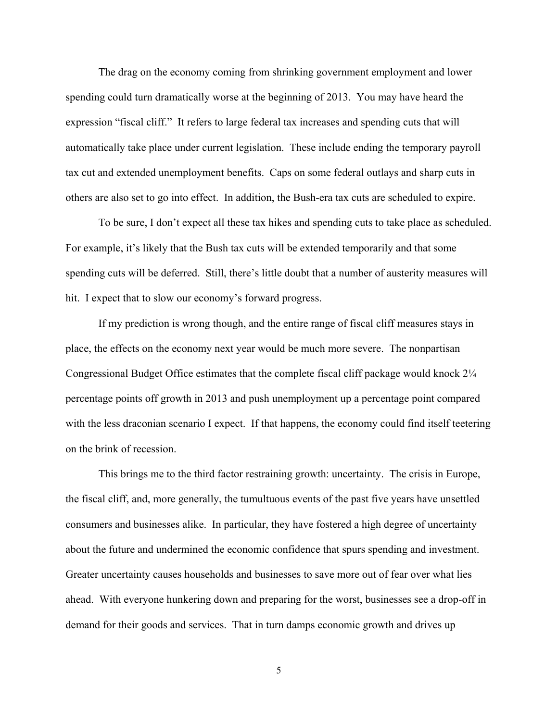The drag on the economy coming from shrinking government employment and lower spending could turn dramatically worse at the beginning of 2013. You may have heard the expression "fiscal cliff." It refers to large federal tax increases and spending cuts that will automatically take place under current legislation. These include ending the temporary payroll tax cut and extended unemployment benefits. Caps on some federal outlays and sharp cuts in others are also set to go into effect. In addition, the Bush-era tax cuts are scheduled to expire.

To be sure, I don't expect all these tax hikes and spending cuts to take place as scheduled. For example, it's likely that the Bush tax cuts will be extended temporarily and that some spending cuts will be deferred. Still, there's little doubt that a number of austerity measures will hit. I expect that to slow our economy's forward progress.

If my prediction is wrong though, and the entire range of fiscal cliff measures stays in place, the effects on the economy next year would be much more severe. The nonpartisan Congressional Budget Office estimates that the complete fiscal cliff package would knock 2¼ percentage points off growth in 2013 and push unemployment up a percentage point compared with the less draconian scenario I expect. If that happens, the economy could find itself teetering on the brink of recession.

This brings me to the third factor restraining growth: uncertainty. The crisis in Europe, the fiscal cliff, and, more generally, the tumultuous events of the past five years have unsettled consumers and businesses alike. In particular, they have fostered a high degree of uncertainty about the future and undermined the economic confidence that spurs spending and investment. Greater uncertainty causes households and businesses to save more out of fear over what lies ahead. With everyone hunkering down and preparing for the worst, businesses see a drop-off in demand for their goods and services. That in turn damps economic growth and drives up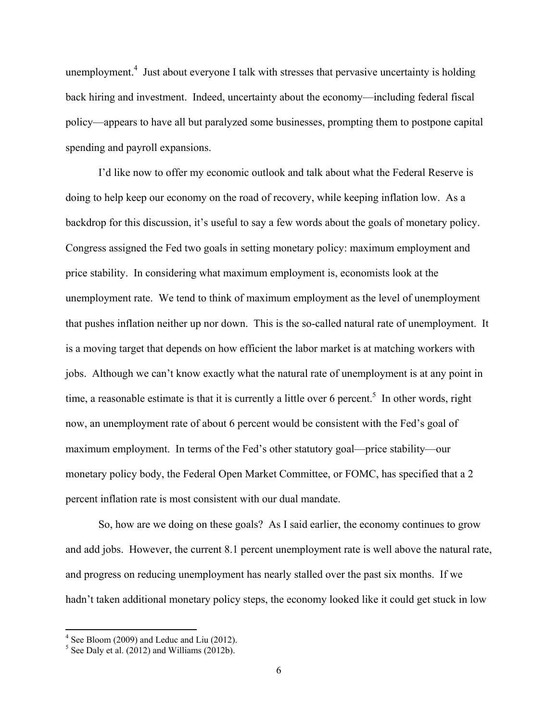unemployment.<sup>4</sup> Just about everyone I talk with stresses that pervasive uncertainty is holding back hiring and investment. Indeed, uncertainty about the economy—including federal fiscal policy—appears to have all but paralyzed some businesses, prompting them to postpone capital spending and payroll expansions.

I'd like now to offer my economic outlook and talk about what the Federal Reserve is doing to help keep our economy on the road of recovery, while keeping inflation low. As a backdrop for this discussion, it's useful to say a few words about the goals of monetary policy. Congress assigned the Fed two goals in setting monetary policy: maximum employment and price stability. In considering what maximum employment is, economists look at the unemployment rate. We tend to think of maximum employment as the level of unemployment that pushes inflation neither up nor down. This is the so-called natural rate of unemployment. It is a moving target that depends on how efficient the labor market is at matching workers with jobs. Although we can't know exactly what the natural rate of unemployment is at any point in time, a reasonable estimate is that it is currently a little over 6 percent.<sup>5</sup> In other words, right now, an unemployment rate of about 6 percent would be consistent with the Fed's goal of maximum employment. In terms of the Fed's other statutory goal—price stability—our monetary policy body, the Federal Open Market Committee, or FOMC, has specified that a 2 percent inflation rate is most consistent with our dual mandate.

So, how are we doing on these goals? As I said earlier, the economy continues to grow and add jobs. However, the current 8.1 percent unemployment rate is well above the natural rate, and progress on reducing unemployment has nearly stalled over the past six months. If we hadn't taken additional monetary policy steps, the economy looked like it could get stuck in low

 4 See Bloom (2009) and Leduc and Liu (2012).

 $<sup>5</sup>$  See Daly et al. (2012) and Williams (2012b).</sup>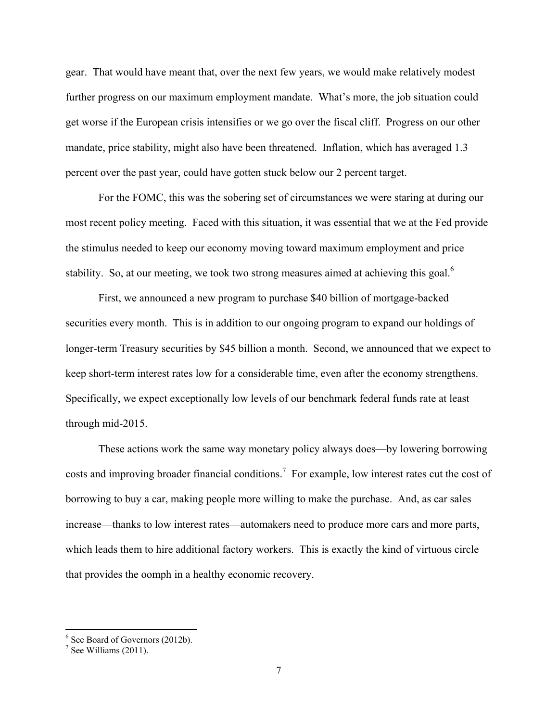gear. That would have meant that, over the next few years, we would make relatively modest further progress on our maximum employment mandate. What's more, the job situation could get worse if the European crisis intensifies or we go over the fiscal cliff. Progress on our other mandate, price stability, might also have been threatened. Inflation, which has averaged 1.3 percent over the past year, could have gotten stuck below our 2 percent target.

For the FOMC, this was the sobering set of circumstances we were staring at during our most recent policy meeting. Faced with this situation, it was essential that we at the Fed provide the stimulus needed to keep our economy moving toward maximum employment and price stability. So, at our meeting, we took two strong measures aimed at achieving this goal.<sup>6</sup>

First, we announced a new program to purchase \$40 billion of mortgage-backed securities every month. This is in addition to our ongoing program to expand our holdings of longer-term Treasury securities by \$45 billion a month. Second, we announced that we expect to keep short-term interest rates low for a considerable time, even after the economy strengthens. Specifically, we expect exceptionally low levels of our benchmark federal funds rate at least through mid-2015.

These actions work the same way monetary policy always does—by lowering borrowing costs and improving broader financial conditions.<sup>7</sup> For example, low interest rates cut the cost of borrowing to buy a car, making people more willing to make the purchase. And, as car sales increase—thanks to low interest rates—automakers need to produce more cars and more parts, which leads them to hire additional factory workers. This is exactly the kind of virtuous circle that provides the oomph in a healthy economic recovery.

 $\frac{6}{7}$  See Board of Governors (2012b).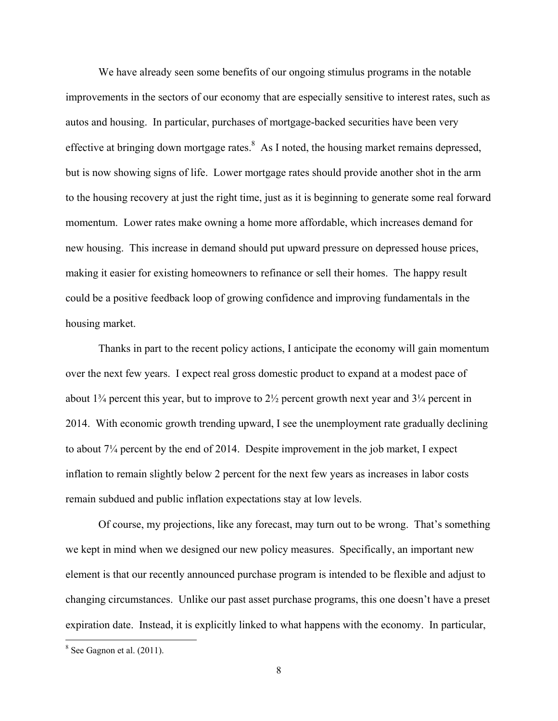We have already seen some benefits of our ongoing stimulus programs in the notable improvements in the sectors of our economy that are especially sensitive to interest rates, such as autos and housing. In particular, purchases of mortgage-backed securities have been very effective at bringing down mortgage rates. $8$  As I noted, the housing market remains depressed, but is now showing signs of life. Lower mortgage rates should provide another shot in the arm to the housing recovery at just the right time, just as it is beginning to generate some real forward momentum. Lower rates make owning a home more affordable, which increases demand for new housing. This increase in demand should put upward pressure on depressed house prices, making it easier for existing homeowners to refinance or sell their homes. The happy result could be a positive feedback loop of growing confidence and improving fundamentals in the housing market.

Thanks in part to the recent policy actions, I anticipate the economy will gain momentum over the next few years. I expect real gross domestic product to expand at a modest pace of about  $1\frac{3}{4}$  percent this year, but to improve to  $2\frac{1}{2}$  percent growth next year and  $3\frac{1}{4}$  percent in 2014. With economic growth trending upward, I see the unemployment rate gradually declining to about 7¼ percent by the end of 2014. Despite improvement in the job market, I expect inflation to remain slightly below 2 percent for the next few years as increases in labor costs remain subdued and public inflation expectations stay at low levels.

Of course, my projections, like any forecast, may turn out to be wrong. That's something we kept in mind when we designed our new policy measures. Specifically, an important new element is that our recently announced purchase program is intended to be flexible and adjust to changing circumstances. Unlike our past asset purchase programs, this one doesn't have a preset expiration date. Instead, it is explicitly linked to what happens with the economy. In particular,

 $8$  See Gagnon et al.  $(2011)$ .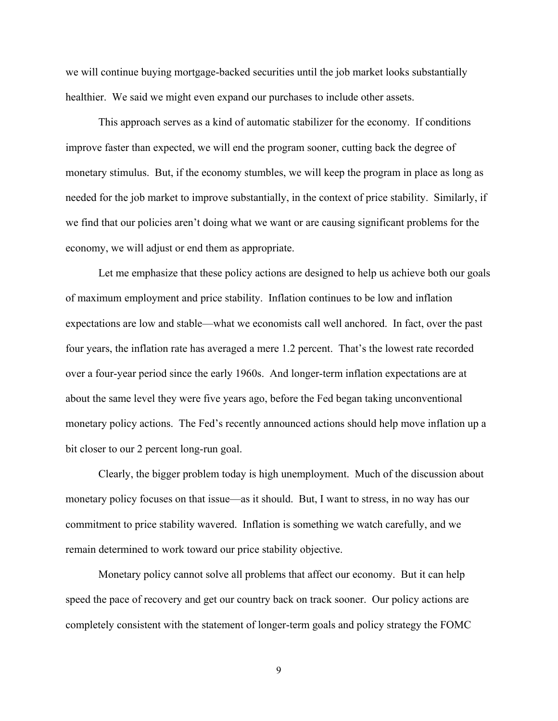we will continue buying mortgage-backed securities until the job market looks substantially healthier. We said we might even expand our purchases to include other assets.

This approach serves as a kind of automatic stabilizer for the economy. If conditions improve faster than expected, we will end the program sooner, cutting back the degree of monetary stimulus. But, if the economy stumbles, we will keep the program in place as long as needed for the job market to improve substantially, in the context of price stability. Similarly, if we find that our policies aren't doing what we want or are causing significant problems for the economy, we will adjust or end them as appropriate.

Let me emphasize that these policy actions are designed to help us achieve both our goals of maximum employment and price stability. Inflation continues to be low and inflation expectations are low and stable—what we economists call well anchored. In fact, over the past four years, the inflation rate has averaged a mere 1.2 percent. That's the lowest rate recorded over a four-year period since the early 1960s. And longer-term inflation expectations are at about the same level they were five years ago, before the Fed began taking unconventional monetary policy actions. The Fed's recently announced actions should help move inflation up a bit closer to our 2 percent long-run goal.

Clearly, the bigger problem today is high unemployment. Much of the discussion about monetary policy focuses on that issue—as it should. But, I want to stress, in no way has our commitment to price stability wavered. Inflation is something we watch carefully, and we remain determined to work toward our price stability objective.

Monetary policy cannot solve all problems that affect our economy. But it can help speed the pace of recovery and get our country back on track sooner. Our policy actions are completely consistent with the statement of longer-term goals and policy strategy the FOMC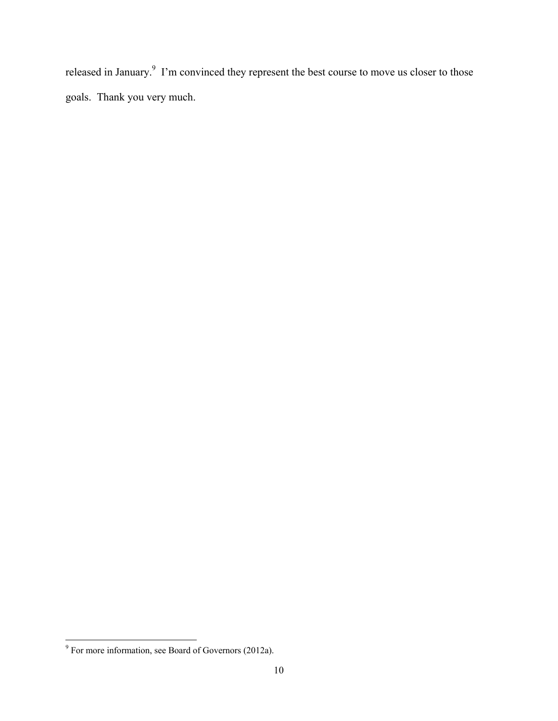released in January.<sup>9</sup> I'm convinced they represent the best course to move us closer to those goals. Thank you very much.

 9 For more information, see Board of Governors (2012a).